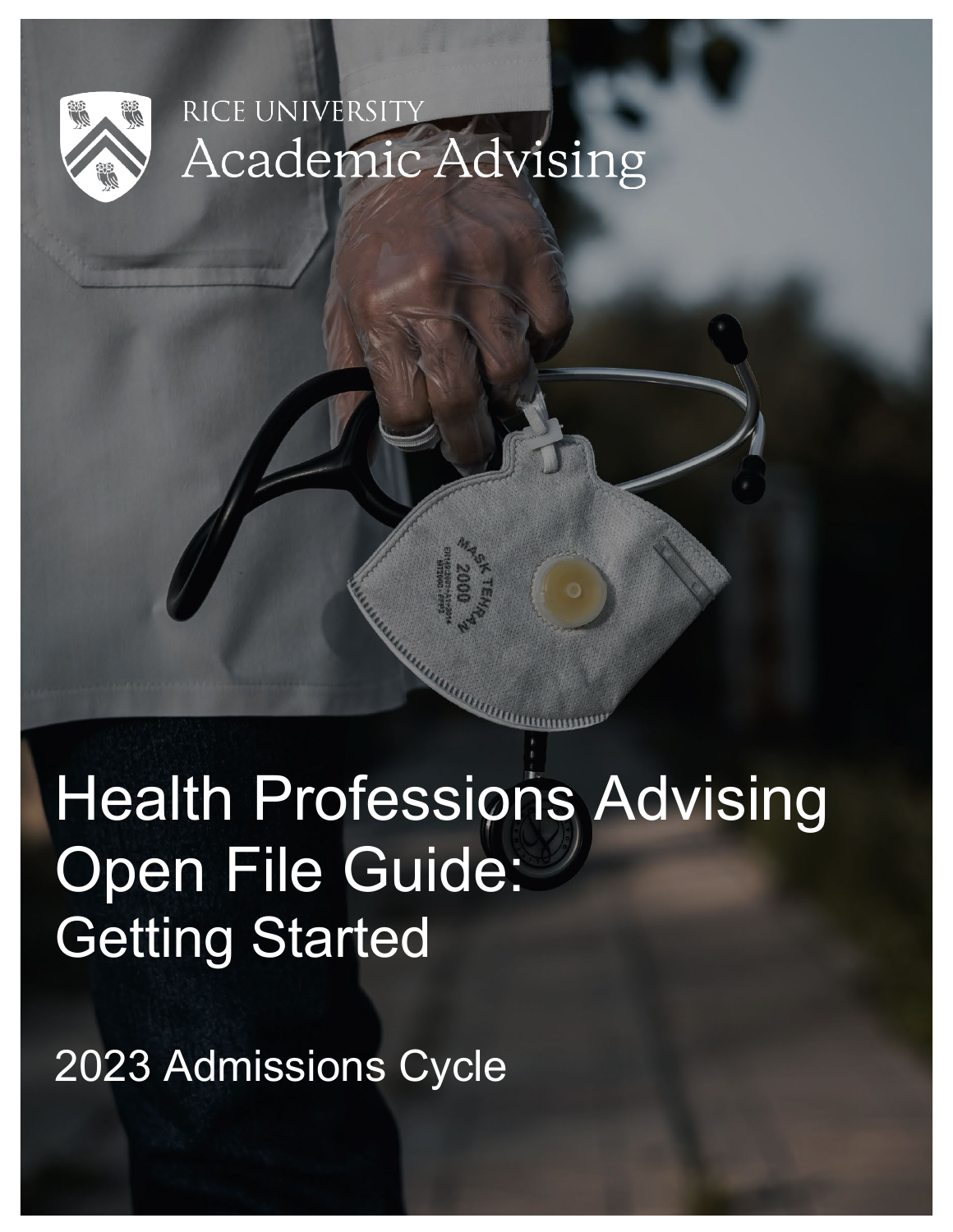

# RICE UNIVERSI Academic Advising

Health Professions Advising Open File Guide: Getting Started

2023 Admissions Cycle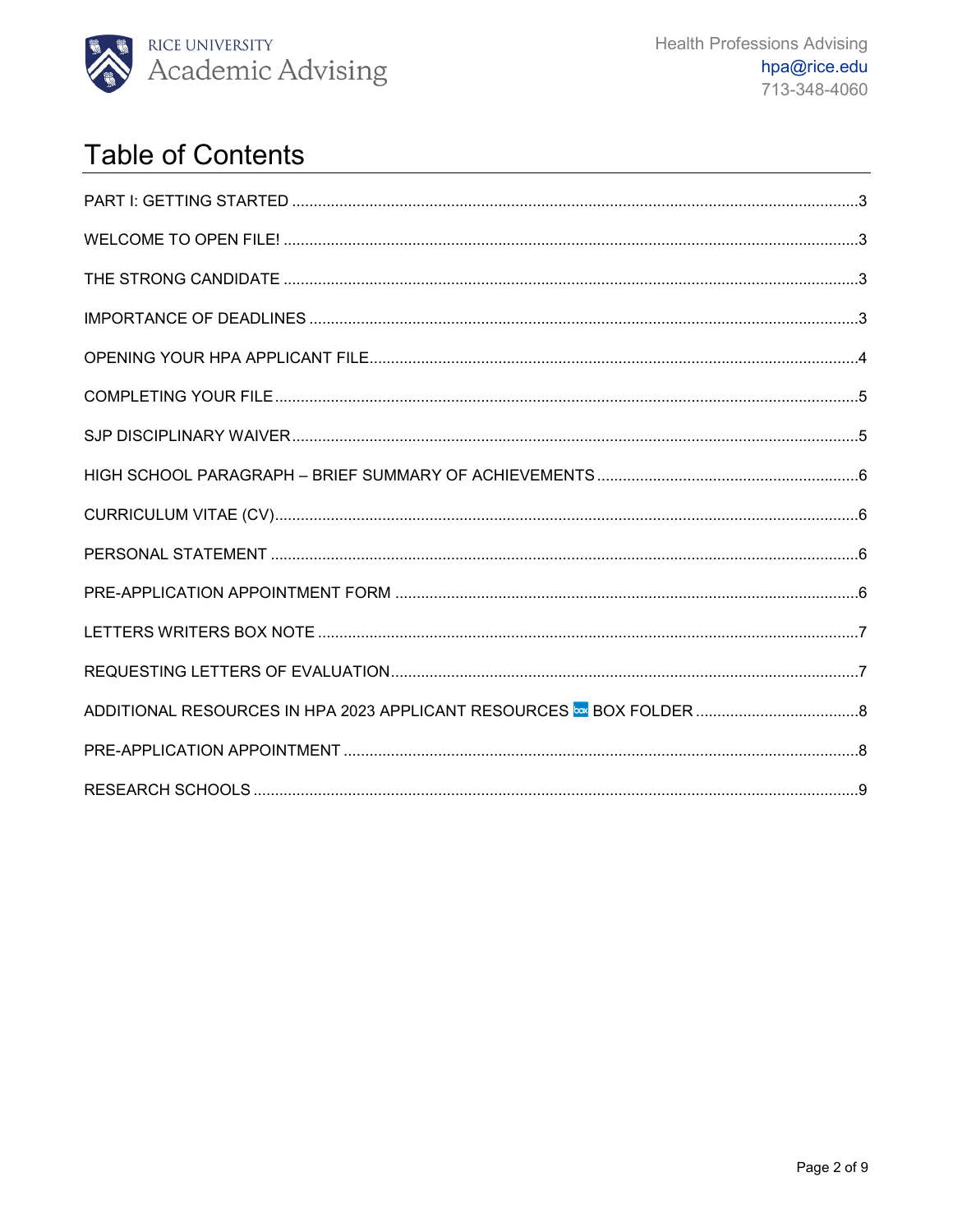

# **Table of Contents**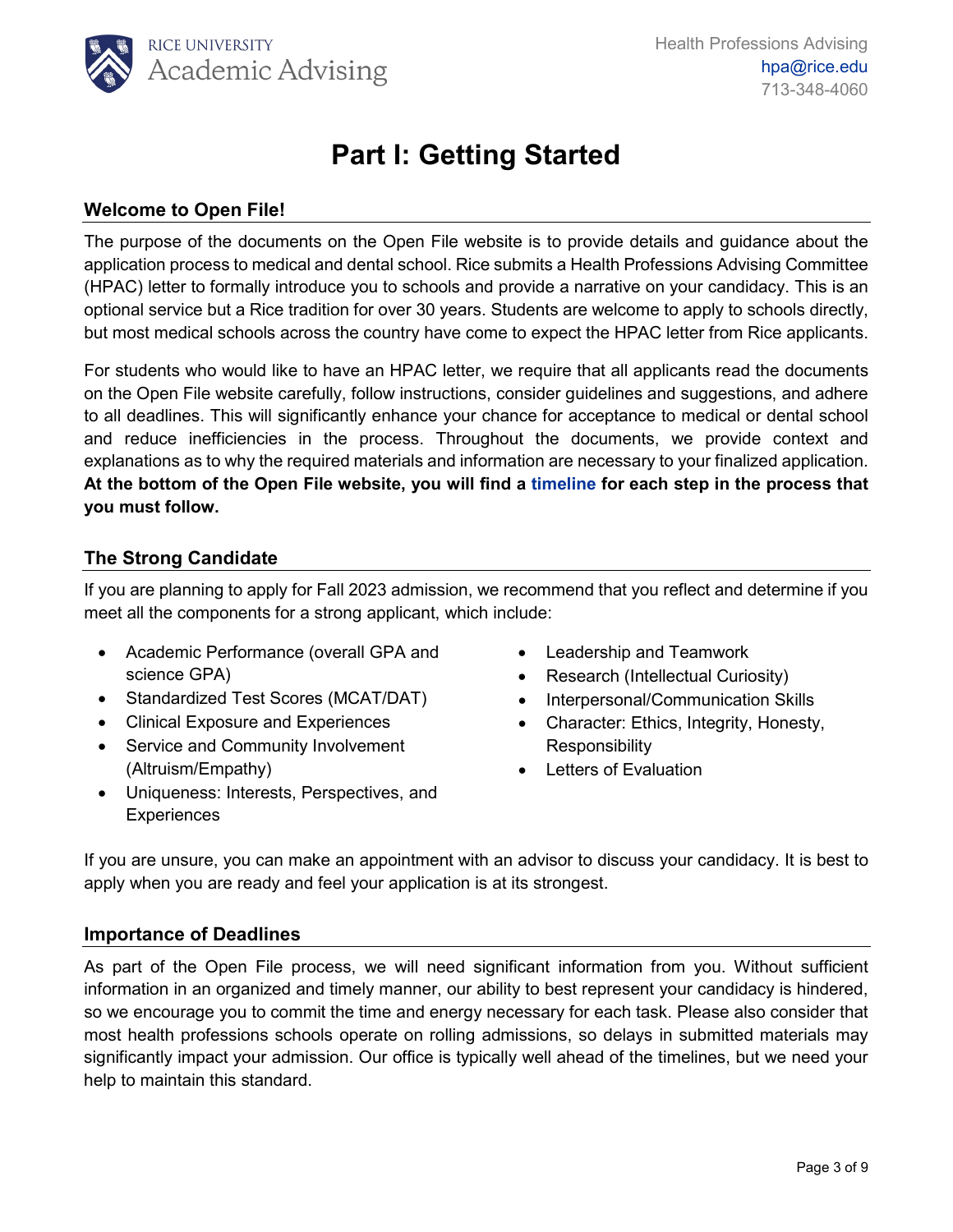

# **Part I: Getting Started**

# <span id="page-2-1"></span><span id="page-2-0"></span>**Welcome to Open File!**

The purpose of the documents on the Open File website is to provide details and guidance about the application process to medical and dental school. Rice submits a Health Professions Advising Committee (HPAC) letter to formally introduce you to schools and provide a narrative on your candidacy. This is an optional service but a Rice tradition for over 30 years. Students are welcome to apply to schools directly, but most medical schools across the country have come to expect the HPAC letter from Rice applicants.

For students who would like to have an HPAC letter, we require that all applicants read the documents on the Open File website carefully, follow instructions, consider guidelines and suggestions, and adhere to all deadlines. This will significantly enhance your chance for acceptance to medical or dental school and reduce inefficiencies in the process. Throughout the documents, we provide context and explanations as to why the required materials and information are necessary to your finalized application. **At the bottom of the Open File website, you will find a [timeline f](https://oaa.rice.edu/sites/g/files/bxs3031/files/inline-files/Open%20File%20Timeline%202021-2022%20%28HPA%20Cycle%202023%29.pdf)or each step in the process that you must follow.**

### <span id="page-2-2"></span>**The Strong Candidate**

If you are planning to apply for Fall 2023 admission, we recommend that you reflect and determine if you meet all the components for a strong applicant, which include:

- Academic Performance (overall GPA and science GPA)
- Standardized Test Scores (MCAT/DAT)
- Clinical Exposure and Experiences
- Service and Community Involvement (Altruism/Empathy)
- Uniqueness: Interests, Perspectives, and **Experiences**
- Leadership and Teamwork
- Research (Intellectual Curiosity)
- Interpersonal/Communication Skills
- Character: Ethics, Integrity, Honesty, Responsibility
- Letters of Evaluation

If you are unsure, you can make an appointment with an advisor to discuss your candidacy. It is best to apply when you are ready and feel your application is at its strongest.

#### <span id="page-2-3"></span>**Importance of Deadlines**

As part of the Open File process, we will need significant information from you. Without sufficient information in an organized and timely manner, our ability to best represent your candidacy is hindered, so we encourage you to commit the time and energy necessary for each task. Please also consider that most health professions schools operate on rolling admissions, so delays in submitted materials may significantly impact your admission. Our office is typically well ahead of the timelines, but we need your help to maintain this standard.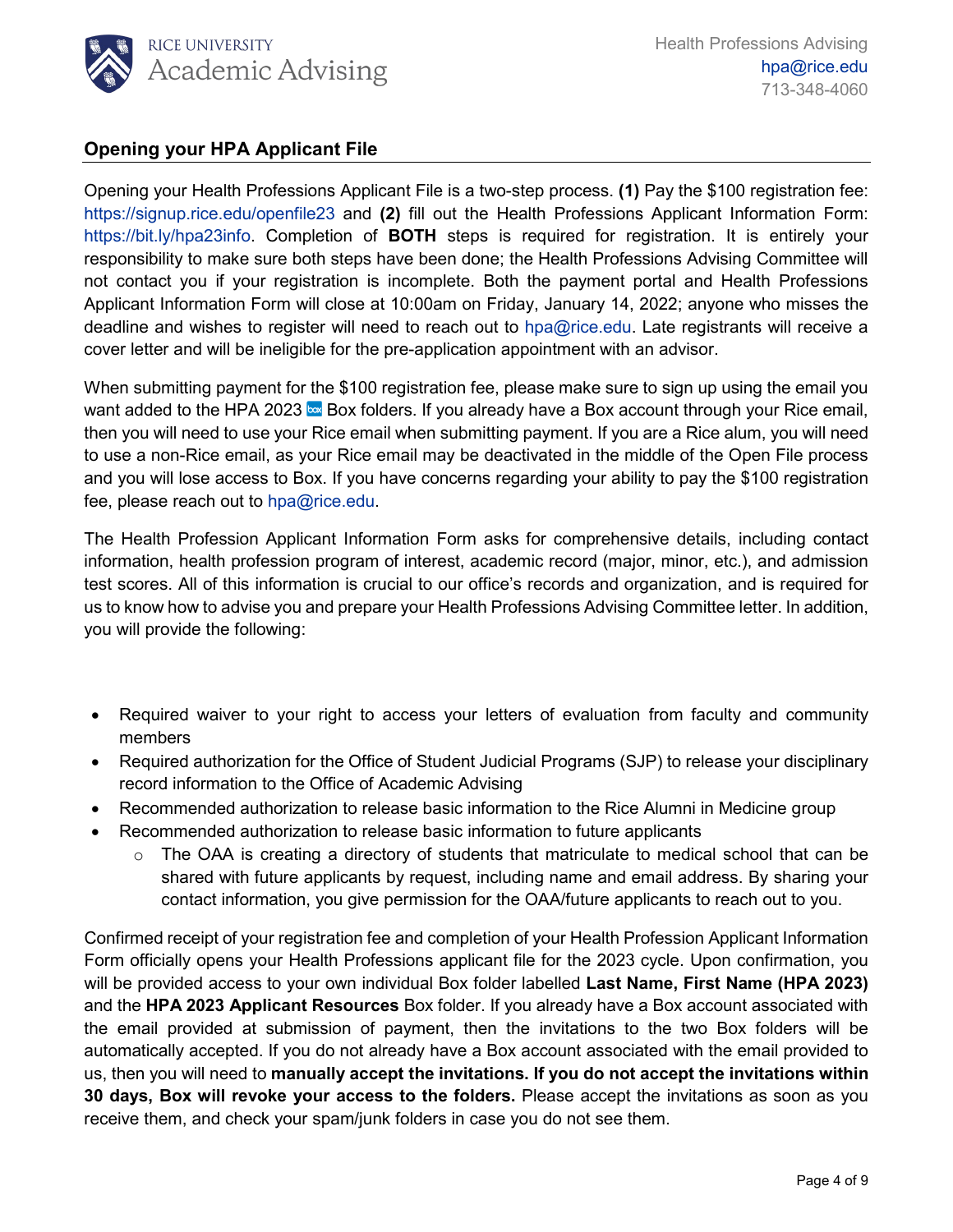

## <span id="page-3-0"></span>**Opening your HPA Applicant File**

Opening your Health Professions Applicant File is a two-step process. **(1)** Pay the \$100 registration fee: <https://signup.rice.edu/openfile23> and **(2)** fill out the Health Professions Applicant Information Form: [https://bit.ly/hpa23info.](https://bit.ly/hpa23info) Completion of **BOTH** steps is required for registration. It is entirely your responsibility to make sure both steps have been done; the Health Professions Advising Committee will not contact you if your registration is incomplete. Both the payment portal and Health Professions Applicant Information Form will close at 10:00am on Friday, January 14, 2022; anyone who misses the deadline and wishes to register will need to reach out to [hpa@rice.edu.](mailto:hpa@rice.edu) Late registrants will receive a cover letter and will be ineligible for the pre-application appointment with an advisor.

When submitting payment for the \$100 registration fee, please make sure to sign up using the email you want added to the HPA 2023  $\frac{1}{2}$  Box folders. If you already have a Box account through your Rice email, then you will need to use your Rice email when submitting payment. If you are a Rice alum, you will need to use a non-Rice email, as your Rice email may be deactivated in the middle of the Open File process and you will lose access to Box. If you have concerns regarding your ability to pay the \$100 registration fee, please reach out to [hpa@rice.edu.](mailto:hpa@rice.edu)

The Health Profession Applicant Information Form asks for comprehensive details, including contact information, health profession program of interest, academic record (major, minor, etc.), and admission test scores. All of this information is crucial to our office's records and organization, and is required for us to know how to advise you and prepare your Health Professions Advising Committee letter. In addition, you will provide the following:

- Required waiver to your right to access your letters of evaluation from faculty and community members
- Required authorization for the Office of Student Judicial Programs (SJP) to release your disciplinary record information to the Office of Academic Advising
- Recommended authorization to release basic information to the Rice Alumni in Medicine group
- Recommended authorization to release basic information to future applicants
	- $\circ$  The OAA is creating a directory of students that matriculate to medical school that can be shared with future applicants by request, including name and email address. By sharing your contact information, you give permission for the OAA/future applicants to reach out to you.

Confirmed receipt of your registration fee and completion of your Health Profession Applicant Information Form officially opens your Health Professions applicant file for the 2023 cycle. Upon confirmation, you will be provided access to your own individual Box folder labelled **Last Name, First Name (HPA 2023)** and the **HPA 2023 Applicant Resources** Box folder. If you already have a Box account associated with the email provided at submission of payment, then the invitations to the two Box folders will be automatically accepted. If you do not already have a Box account associated with the email provided to us, then you will need to **manually accept the invitations. If you do not accept the invitations within 30 days, Box will revoke your access to the folders.** Please accept the invitations as soon as you receive them, and check your spam/junk folders in case you do not see them.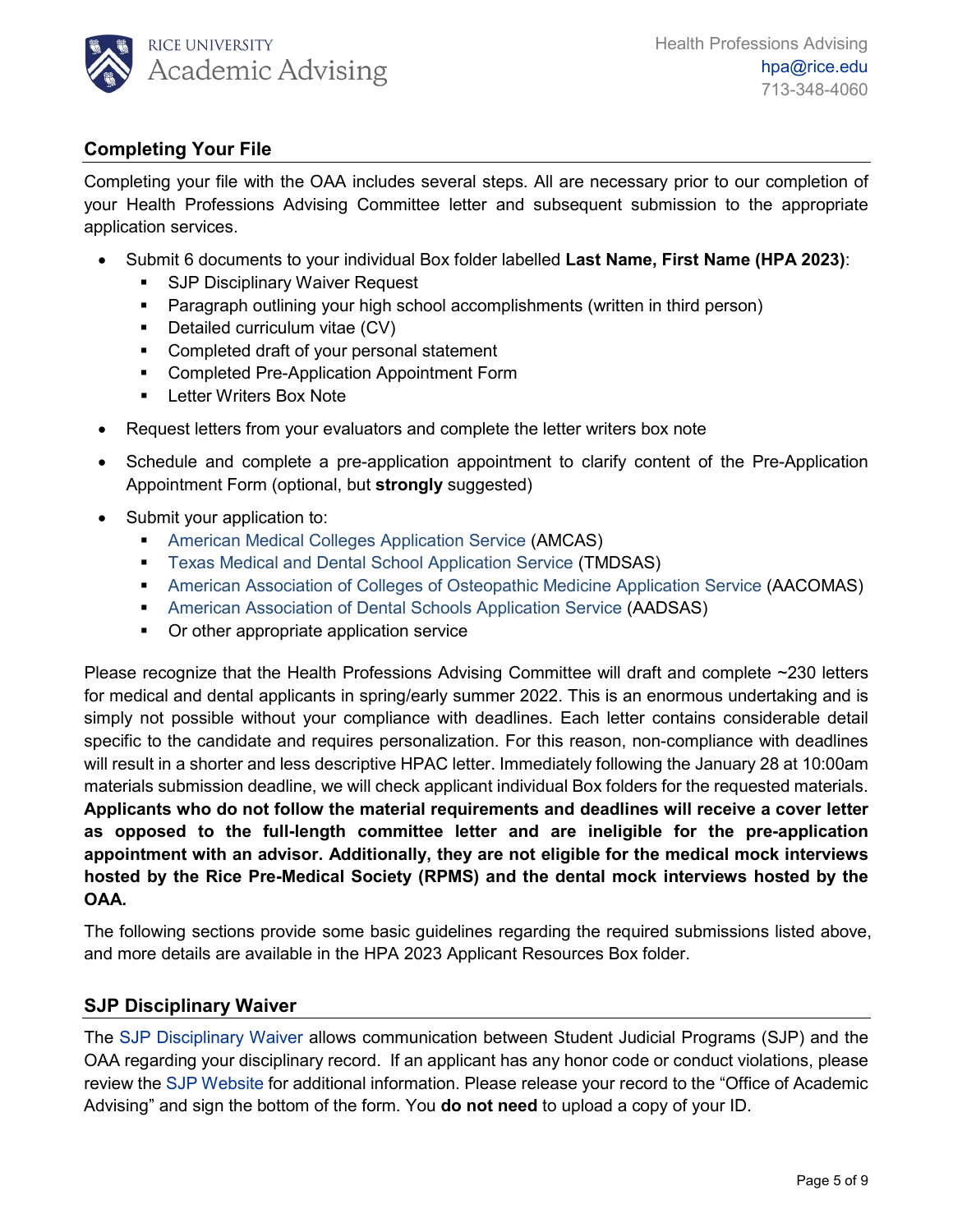

# <span id="page-4-0"></span>**Completing Your File**

Completing your file with the OAA includes several steps. All are necessary prior to our completion of your Health Professions Advising Committee letter and subsequent submission to the appropriate application services.

- Submit 6 documents to your individual Box folder labelled **Last Name, First Name (HPA 2023)**:
	- **SJP Disciplinary Waiver Request**
	- Paragraph outlining your high school accomplishments (written in third person)
	- Detailed curriculum vitae (CV)
	- **•** Completed draft of your personal statement
	- **EXECOMPLETED Pre-Application Appointment Form**
	- **Letter Writers Box Note**
- Request letters from your evaluators and complete the letter writers box note
- Schedule and complete a pre-application appointment to clarify content of the Pre-Application Appointment Form (optional, but **strongly** suggested)
- Submit your application to:
	- [American Medical Colleges Application Service](https://www.aamc.org/students/applying/amcas/) (AMCAS)
	- **Texas [Medical and Dental School Application Service](http://www.tmdsas.com/) (TMDSAS)**
	- [American Association of Colleges of Osteopathic Medicine Application Service](http://www.aacom.org/become-a-doctor/applying) (AACOMAS)
	- [American Association of Dental Schools Application Service](http://www.adea.org/GoDental/The_application_to_dental_school__ADEA_AADSAS.aspx#sthash.SrBvaMK9.dpbs) (AADSAS)
	- Or other appropriate application service

Please recognize that the Health Professions Advising Committee will draft and complete ~230 letters for medical and dental applicants in spring/early summer 2022. This is an enormous undertaking and is simply not possible without your compliance with deadlines. Each letter contains considerable detail specific to the candidate and requires personalization. For this reason, non-compliance with deadlines will result in a shorter and less descriptive HPAC letter. Immediately following the January 28 at 10:00am materials submission deadline, we will check applicant individual Box folders for the requested materials. **Applicants who do not follow the material requirements and deadlines will receive a cover letter as opposed to the full-length committee letter and are ineligible for the pre-application appointment with an advisor. Additionally, they are not eligible for the medical mock interviews hosted by the Rice Pre-Medical Society (RPMS) and the dental mock interviews hosted by the OAA.**

The following sections provide some basic guidelines regarding the required submissions listed above, and more details are available in the HPA 2023 Applicant Resources Box folder.

### <span id="page-4-1"></span>**SJP Disciplinary Waiver**

The [SJP Disciplinary Waiver](https://rice.app.box.com/folder/145680440708) allows communication between Student Judicial Programs (SJP) and the OAA regarding your disciplinary record. If an applicant has any honor code or conduct violations, please review the [SJP Website](https://sjp.rice.edu/) for additional information. Please release your record to the "Office of Academic Advising" and sign the bottom of the form. You **do not need** to upload a copy of your ID.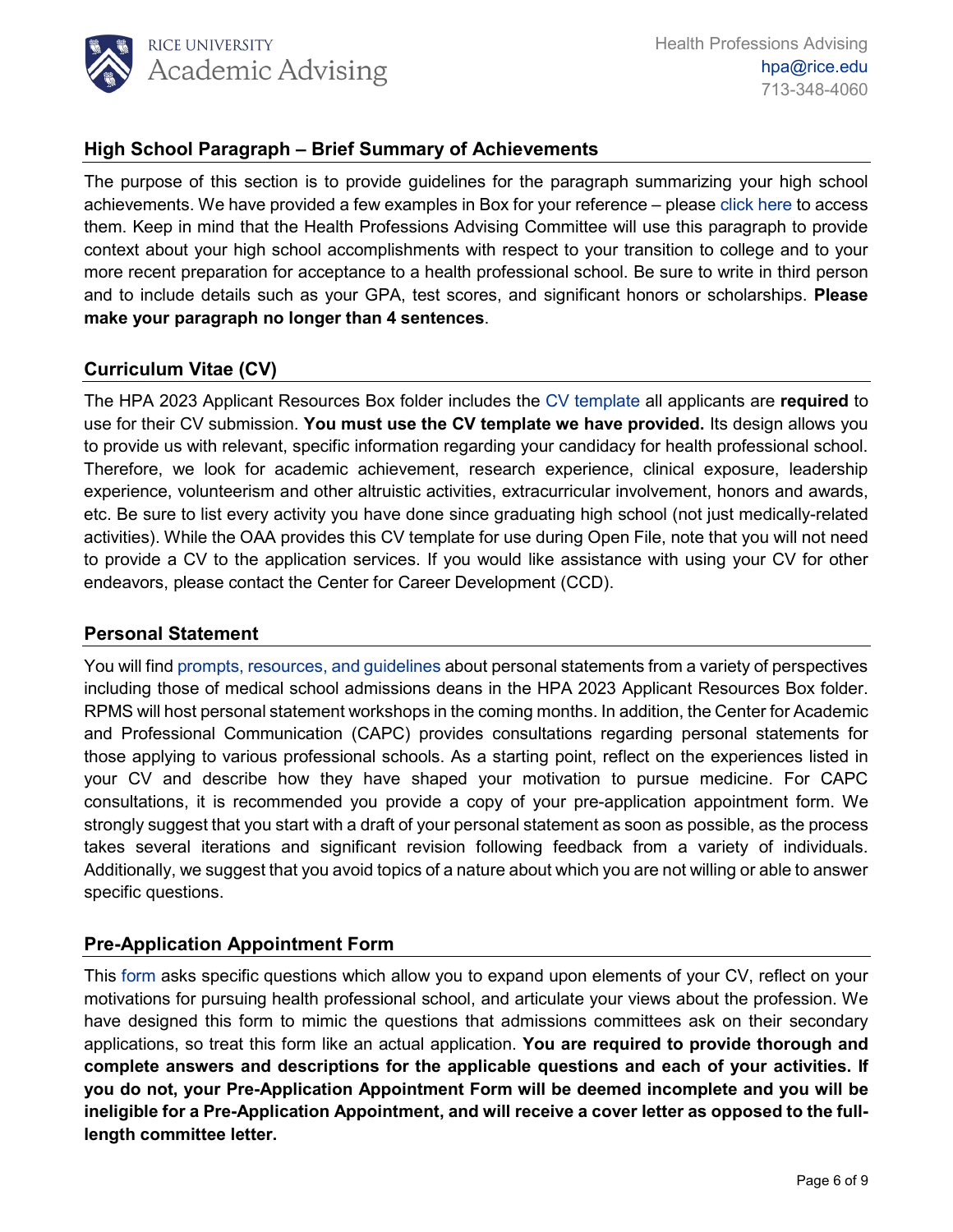

### <span id="page-5-0"></span>**High School Paragraph – Brief Summary of Achievements**

The purpose of this section is to provide guidelines for the paragraph summarizing your high school achievements. We have provided a few examples in Box for your reference – please [click here](https://rice.app.box.com/folder/148413253627) to access them. Keep in mind that the Health Professions Advising Committee will use this paragraph to provide context about your high school accomplishments with respect to your transition to college and to your more recent preparation for acceptance to a health professional school. Be sure to write in third person and to include details such as your GPA, test scores, and significant honors or scholarships. **Please make your paragraph no longer than 4 sentences**.

#### <span id="page-5-1"></span>**Curriculum Vitae (CV)**

The HPA 2023 Applicant Resources Box folder includes the CV [template](https://rice.app.box.com/folder/145679168809) all applicants are **required** to use for their CV submission. **You must use the CV template we have provided.** Its design allows you to provide us with relevant, specific information regarding your candidacy for health professional school. Therefore, we look for academic achievement, research experience, clinical exposure, leadership experience, volunteerism and other altruistic activities, extracurricular involvement, honors and awards, etc. Be sure to list every activity you have done since graduating high school (not just medically-related activities). While the OAA provides this CV template for use during Open File, note that you will not need to provide a CV to the application services. If you would like assistance with using your CV for other endeavors, please contact the Center for Career Development (CCD).

#### <span id="page-5-2"></span>**Personal Statement**

You will find [prompts, resources,](https://rice.app.box.com/folder/145680052085) and guidelines about personal statements from a variety of perspectives including those of medical school admissions deans in the HPA 2023 Applicant Resources Box folder. RPMS will host personal statement workshops in the coming months. In addition, the Center for Academic and Professional Communication (CAPC) provides consultations regarding personal statements for those applying to various professional schools. As a starting point, reflect on the experiences listed in your CV and describe how they have shaped your motivation to pursue medicine. For CAPC consultations, it is recommended you provide a copy of your pre-application appointment form. We strongly suggest that you start with a draft of your personal statement as soon as possible, as the process takes several iterations and significant revision following feedback from a variety of individuals. Additionally, we suggest that you avoid topics of a nature about which you are not willing or able to answer specific questions.

#### <span id="page-5-3"></span>**Pre-Application Appointment Form**

This [form](https://rice.app.box.com/folder/145678988173) asks specific questions which allow you to expand upon elements of your CV, reflect on your motivations for pursuing health professional school, and articulate your views about the profession. We have designed this form to mimic the questions that admissions committees ask on their secondary applications, so treat this form like an actual application. **You are required to provide thorough and complete answers and descriptions for the applicable questions and each of your activities. If you do not, your Pre-Application Appointment Form will be deemed incomplete and you will be ineligible for a Pre-Application Appointment, and will receive a cover letter as opposed to the fulllength committee letter.**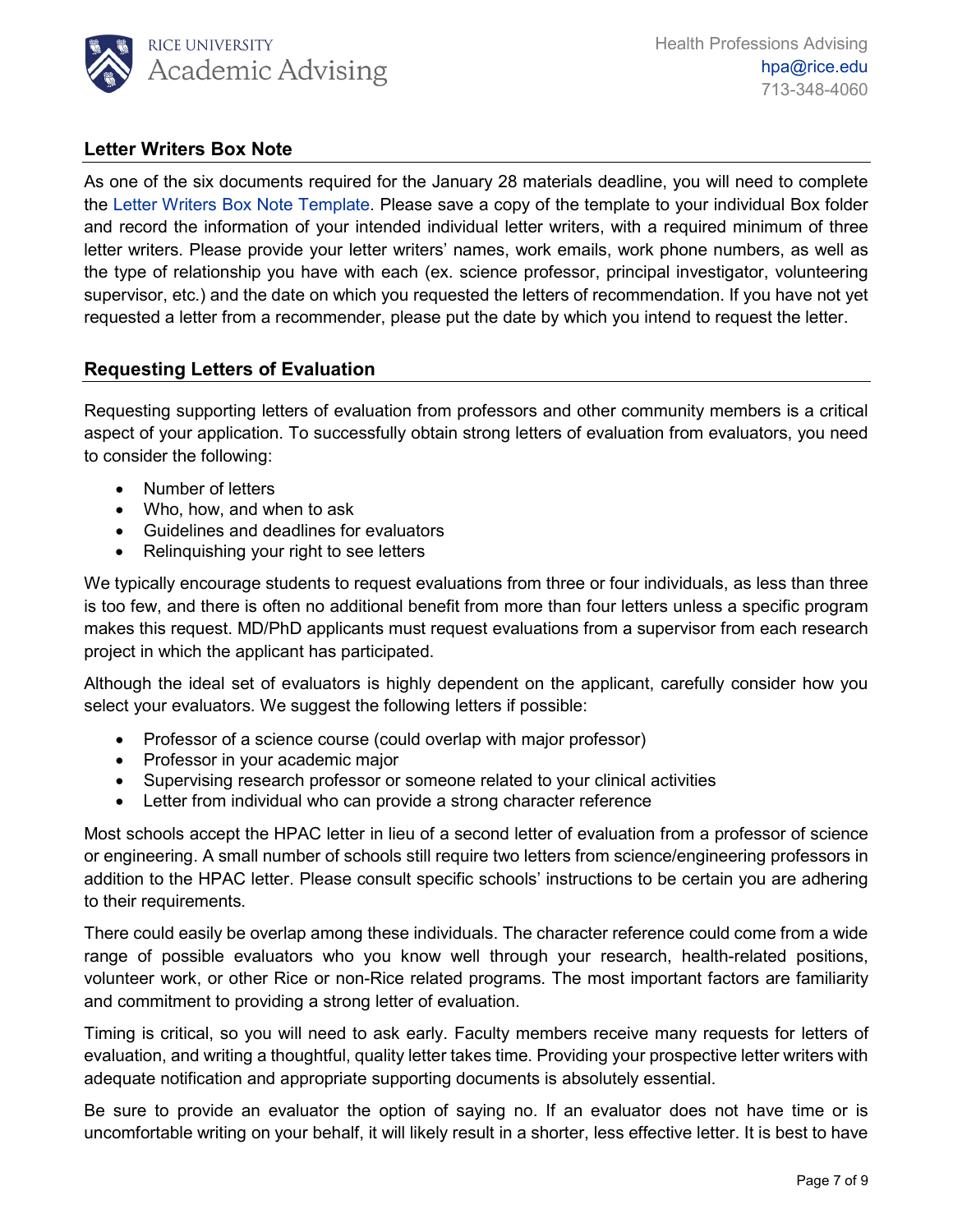

#### <span id="page-6-0"></span>**Letter Writers Box Note**

As one of the six documents required for the January 28 materials deadline, you will need to complete the [Letter Writers Box Note](https://rice.app.box.com/folder/145679900664) Template. Please save a copy of the template to your individual Box folder and record the information of your intended individual letter writers, with a required minimum of three letter writers. Please provide your letter writers' names, work emails, work phone numbers, as well as the type of relationship you have with each (ex. science professor, principal investigator, volunteering supervisor, etc.) and the date on which you requested the letters of recommendation. If you have not yet requested a letter from a recommender, please put the date by which you intend to request the letter.

#### <span id="page-6-1"></span>**Requesting Letters of Evaluation**

Requesting supporting letters of evaluation from professors and other community members is a critical aspect of your application. To successfully obtain strong letters of evaluation from evaluators, you need to consider the following:

- Number of letters
- Who, how, and when to ask
- Guidelines and deadlines for evaluators
- Relinquishing your right to see letters

We typically encourage students to request evaluations from three or four individuals, as less than three is too few, and there is often no additional benefit from more than four letters unless a specific program makes this request. MD/PhD applicants must request evaluations from a supervisor from each research project in which the applicant has participated.

Although the ideal set of evaluators is highly dependent on the applicant, carefully consider how you select your evaluators. We suggest the following letters if possible:

- Professor of a science course (could overlap with major professor)
- Professor in your academic major
- Supervising research professor or someone related to your clinical activities
- Letter from individual who can provide a strong character reference

Most schools accept the HPAC letter in lieu of a second letter of evaluation from a professor of science or engineering. A small number of schools still require two letters from science/engineering professors in addition to the HPAC letter. Please consult specific schools' instructions to be certain you are adhering to their requirements.

There could easily be overlap among these individuals. The character reference could come from a wide range of possible evaluators who you know well through your research, health-related positions, volunteer work, or other Rice or non-Rice related programs. The most important factors are familiarity and commitment to providing a strong letter of evaluation.

Timing is critical, so you will need to ask early. Faculty members receive many requests for letters of evaluation, and writing a thoughtful, quality letter takes time. Providing your prospective letter writers with adequate notification and appropriate supporting documents is absolutely essential.

Be sure to provide an evaluator the option of saying no. If an evaluator does not have time or is uncomfortable writing on your behalf, it will likely result in a shorter, less effective letter. It is best to have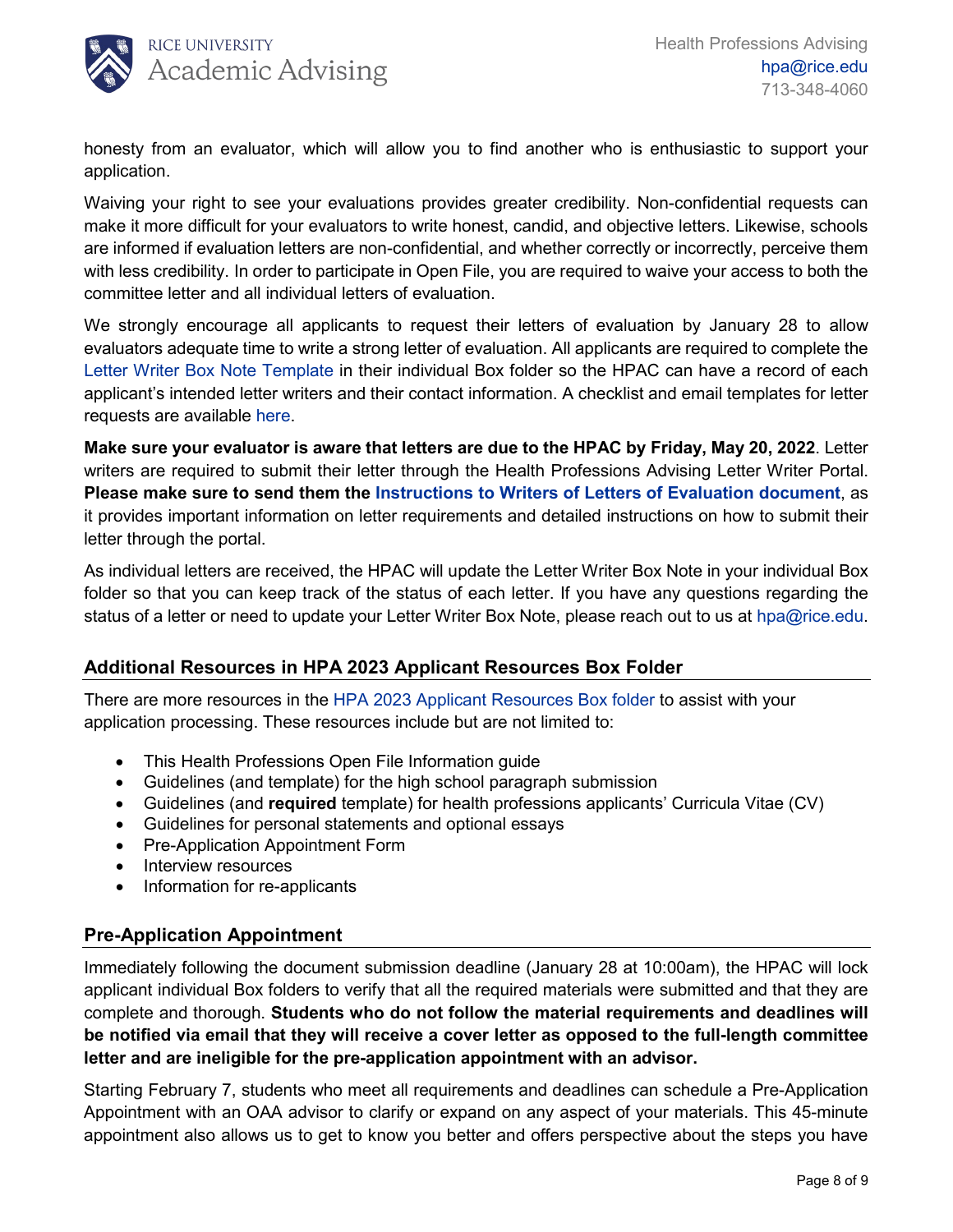

honesty from an evaluator, which will allow you to find another who is enthusiastic to support your application.

Waiving your right to see your evaluations provides greater credibility. Non-confidential requests can make it more difficult for your evaluators to write honest, candid, and objective letters. Likewise, schools are informed if evaluation letters are non-confidential, and whether correctly or incorrectly, perceive them with less credibility. In order to participate in Open File, you are required to waive your access to both the committee letter and all individual letters of evaluation.

We strongly encourage all applicants to request their letters of evaluation by January 28 to allow evaluators adequate time to write a strong letter of evaluation. All applicants are required to complete the [Letter Writer Box Note](https://rice.app.box.com/folder/145679900664) Template in their individual Box folder so the HPAC can have a record of each applicant's intended letter writers and their contact information. A checklist and email templates for letter requests are available [here.](https://rice.app.box.com/file/880410252439)

**Make sure your evaluator is aware that letters are due to the HPAC by Friday, May 20, 2022**. Letter writers are required to submit their letter through the Health Professions Advising Letter Writer Portal. **Please make sure to send them the [Instructions to Writers of Letters of Evaluation document](https://rice.app.box.com/folder/145679900664)**, as it provides important information on letter requirements and detailed instructions on how to submit their letter through the portal.

As individual letters are received, the HPAC will update the Letter Writer Box Note in your individual Box folder so that you can keep track of the status of each letter. If you have any questions regarding the status of a letter or need to update your Letter Writer Box Note, please reach out to us at [hpa@rice.edu.](mailto:hpa@rice.edu)

### **Additional Resources in HPA 2023 Applicant Resources Box Folder**

There are more resources in the HPA 2023 [Applicant Resources Box](https://rice.app.box.com/folder/141998491922?s=m23vp8tysiipbf0r0051ivbio2x8vr5o) folder to assist with your application processing. These resources include but are not limited to:

- This Health Professions Open File Information guide
- Guidelines (and template) for the high school paragraph submission
- Guidelines (and **required** template) for health professions applicants' Curricula Vitae (CV)
- Guidelines for personal statements and optional essays
- Pre-Application Appointment Form
- Interview resources
- Information for re-applicants

### <span id="page-7-0"></span>**Pre-Application Appointment**

Immediately following the document submission deadline (January 28 at 10:00am), the HPAC will lock applicant individual Box folders to verify that all the required materials were submitted and that they are complete and thorough. **Students who do not follow the material requirements and deadlines will be notified via email that they will receive a cover letter as opposed to the full-length committee letter and are ineligible for the pre-application appointment with an advisor.**

Starting February 7, students who meet all requirements and deadlines can schedule a Pre-Application Appointment with an OAA advisor to clarify or expand on any aspect of your materials. This 45-minute appointment also allows us to get to know you better and offers perspective about the steps you have